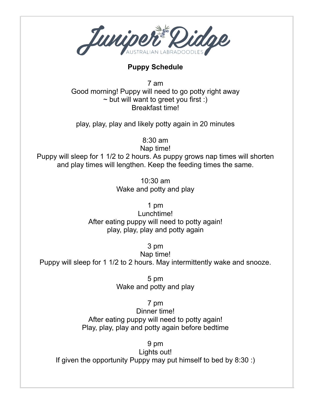

## **Puppy Schedule**

7 am Good morning! Puppy will need to go potty right away  $\sim$  but will want to greet you first :) Breakfast time!

play, play, play and likely potty again in 20 minutes

8:30 am

Nap time!

Puppy will sleep for 1 1/2 to 2 hours. As puppy grows nap times will shorten and play times will lengthen. Keep the feeding times the same.

> 10:30 am Wake and potty and play

> > 1 pm

Lunchtime! After eating puppy will need to potty again! play, play, play and potty again

3 pm

Nap time! Puppy will sleep for 1 1/2 to 2 hours. May intermittently wake and snooze.

> 5 pm Wake and potty and play

> > 7 pm

Dinner time! After eating puppy will need to potty again! Play, play, play and potty again before bedtime

9 pm

Lights out! If given the opportunity Puppy may put himself to bed by 8:30 :)